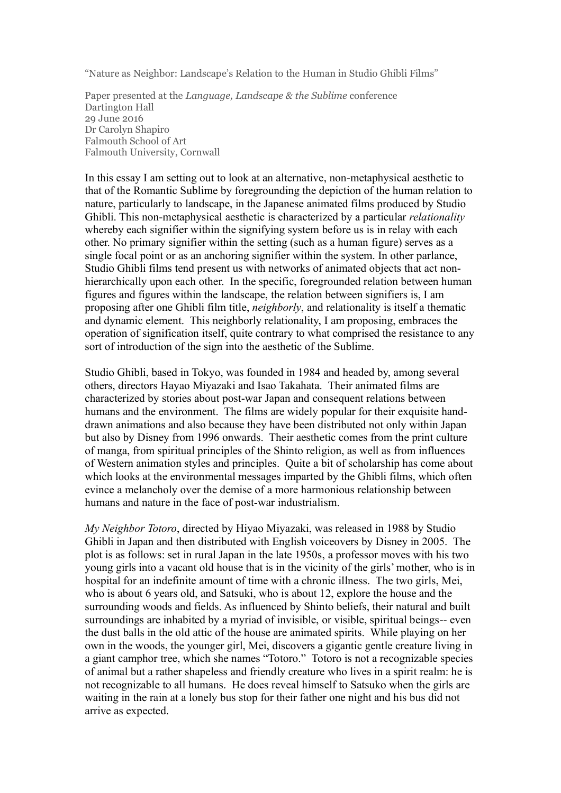"Nature as Neighbor: Landscape's Relation to the Human in Studio Ghibli Films"

Paper presented at the *Language, Landscape & the Sublime* conference Dartington Hall 29 June 2016 Dr Carolyn Shapiro Falmouth School of Art Falmouth University, Cornwall

In this essay I am setting out to look at an alternative, non-metaphysical aesthetic to that of the Romantic Sublime by foregrounding the depiction of the human relation to nature, particularly to landscape, in the Japanese animated films produced by Studio Ghibli. This non-metaphysical aesthetic is characterized by a particular *relationality*  whereby each signifier within the signifying system before us is in relay with each other. No primary signifier within the setting (such as a human figure) serves as a single focal point or as an anchoring signifier within the system. In other parlance, Studio Ghibli films tend present us with networks of animated objects that act nonhierarchically upon each other. In the specific, foregrounded relation between human figures and figures within the landscape, the relation between signifiers is, I am proposing after one Ghibli film title, *neighborly*, and relationality is itself a thematic and dynamic element. This neighborly relationality, I am proposing, embraces the operation of signification itself, quite contrary to what comprised the resistance to any sort of introduction of the sign into the aesthetic of the Sublime.

Studio Ghibli, based in Tokyo, was founded in 1984 and headed by, among several others, directors Hayao Miyazaki and Isao Takahata. Their animated films are characterized by stories about post-war Japan and consequent relations between humans and the environment. The films are widely popular for their exquisite handdrawn animations and also because they have been distributed not only within Japan but also by Disney from 1996 onwards. Their aesthetic comes from the print culture of manga, from spiritual principles of the Shinto religion, as well as from influences of Western animation styles and principles. Quite a bit of scholarship has come about which looks at the environmental messages imparted by the Ghibli films, which often evince a melancholy over the demise of a more harmonious relationship between humans and nature in the face of post-war industrialism.

*My Neighbor Totoro*, directed by Hiyao Miyazaki, was released in 1988 by Studio Ghibli in Japan and then distributed with English voiceovers by Disney in 2005. The plot is as follows: set in rural Japan in the late 1950s, a professor moves with his two young girls into a vacant old house that is in the vicinity of the girls' mother, who is in hospital for an indefinite amount of time with a chronic illness. The two girls, Mei, who is about 6 years old, and Satsuki, who is about 12, explore the house and the surrounding woods and fields. As influenced by Shinto beliefs, their natural and built surroundings are inhabited by a myriad of invisible, or visible, spiritual beings-- even the dust balls in the old attic of the house are animated spirits. While playing on her own in the woods, the younger girl, Mei, discovers a gigantic gentle creature living in a giant camphor tree, which she names "Totoro." Totoro is not a recognizable species of animal but a rather shapeless and friendly creature who lives in a spirit realm: he is not recognizable to all humans. He does reveal himself to Satsuko when the girls are waiting in the rain at a lonely bus stop for their father one night and his bus did not arrive as expected.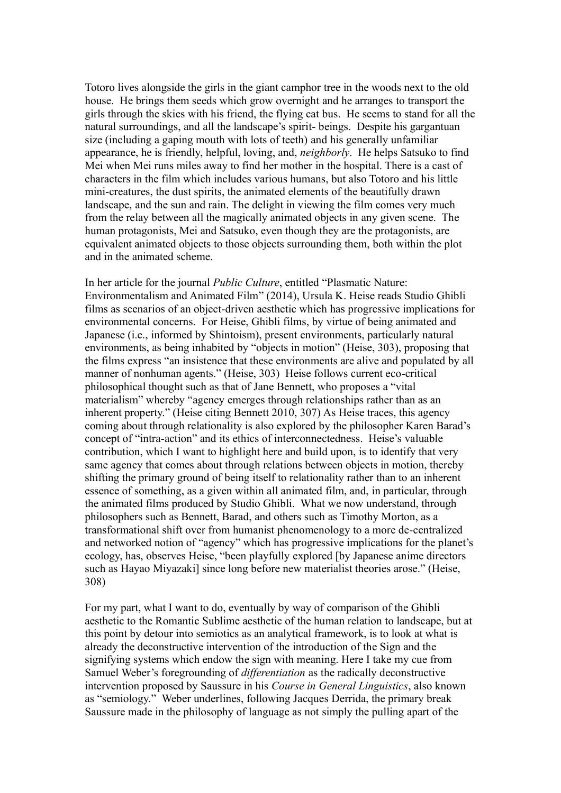Totoro lives alongside the girls in the giant camphor tree in the woods next to the old house. He brings them seeds which grow overnight and he arranges to transport the girls through the skies with his friend, the flying cat bus. He seems to stand for all the natural surroundings, and all the landscape's spirit- beings. Despite his gargantuan size (including a gaping mouth with lots of teeth) and his generally unfamiliar appearance, he is friendly, helpful, loving, and, *neighborly*. He helps Satsuko to find Mei when Mei runs miles away to find her mother in the hospital. There is a cast of characters in the film which includes various humans, but also Totoro and his little mini-creatures, the dust spirits, the animated elements of the beautifully drawn landscape, and the sun and rain. The delight in viewing the film comes very much from the relay between all the magically animated objects in any given scene. The human protagonists, Mei and Satsuko, even though they are the protagonists, are equivalent animated objects to those objects surrounding them, both within the plot and in the animated scheme.

In her article for the journal *Public Culture*, entitled "Plasmatic Nature: Environmentalism and Animated Film" (2014), Ursula K. Heise reads Studio Ghibli films as scenarios of an object-driven aesthetic which has progressive implications for environmental concerns. For Heise, Ghibli films, by virtue of being animated and Japanese (i.e., informed by Shintoism), present environments, particularly natural environments, as being inhabited by "objects in motion" (Heise, 303), proposing that the films express "an insistence that these environments are alive and populated by all manner of nonhuman agents." (Heise, 303) Heise follows current eco-critical philosophical thought such as that of Jane Bennett, who proposes a "vital materialism" whereby "agency emerges through relationships rather than as an inherent property." (Heise citing Bennett 2010, 307) As Heise traces, this agency coming about through relationality is also explored by the philosopher Karen Barad's concept of "intra-action" and its ethics of interconnectedness. Heise's valuable contribution, which I want to highlight here and build upon, is to identify that very same agency that comes about through relations between objects in motion, thereby shifting the primary ground of being itself to relationality rather than to an inherent essence of something, as a given within all animated film, and, in particular, through the animated films produced by Studio Ghibli. What we now understand, through philosophers such as Bennett, Barad, and others such as Timothy Morton, as a transformational shift over from humanist phenomenology to a more de-centralized and networked notion of "agency" which has progressive implications for the planet's ecology, has, observes Heise, "been playfully explored [by Japanese anime directors such as Hayao Miyazaki] since long before new materialist theories arose." (Heise, 308)

For my part, what I want to do, eventually by way of comparison of the Ghibli aesthetic to the Romantic Sublime aesthetic of the human relation to landscape, but at this point by detour into semiotics as an analytical framework, is to look at what is already the deconstructive intervention of the introduction of the Sign and the signifying systems which endow the sign with meaning. Here I take my cue from Samuel Weber's foregrounding of *differentiation* as the radically deconstructive intervention proposed by Saussure in his *Course in General Linguistics*, also known as "semiology." Weber underlines, following Jacques Derrida, the primary break Saussure made in the philosophy of language as not simply the pulling apart of the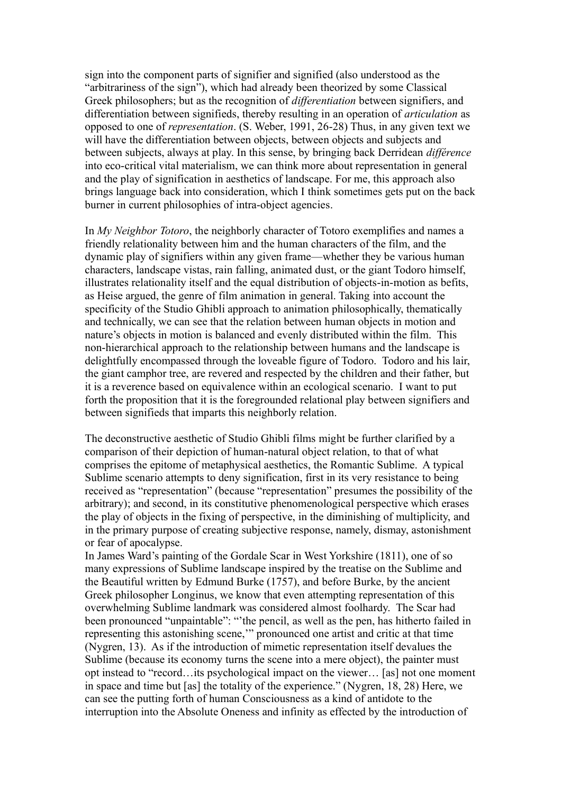sign into the component parts of signifier and signified (also understood as the "arbitrariness of the sign"), which had already been theorized by some Classical Greek philosophers; but as the recognition of *differentiation* between signifiers, and differentiation between signifieds, thereby resulting in an operation of *articulation* as opposed to one of *representation*. (S. Weber, 1991, 26-28) Thus, in any given text we will have the differentiation between objects, between objects and subjects and between subjects, always at play. In this sense, by bringing back Derridean *différence* into eco-critical vital materialism, we can think more about representation in general and the play of signification in aesthetics of landscape. For me, this approach also brings language back into consideration, which I think sometimes gets put on the back burner in current philosophies of intra-object agencies.

In *My Neighbor Totoro*, the neighborly character of Totoro exemplifies and names a friendly relationality between him and the human characters of the film, and the dynamic play of signifiers within any given frame—whether they be various human characters, landscape vistas, rain falling, animated dust, or the giant Todoro himself, illustrates relationality itself and the equal distribution of objects-in-motion as befits, as Heise argued, the genre of film animation in general. Taking into account the specificity of the Studio Ghibli approach to animation philosophically, thematically and technically, we can see that the relation between human objects in motion and nature's objects in motion is balanced and evenly distributed within the film. This non-hierarchical approach to the relationship between humans and the landscape is delightfully encompassed through the loveable figure of Todoro. Todoro and his lair, the giant camphor tree, are revered and respected by the children and their father, but it is a reverence based on equivalence within an ecological scenario. I want to put forth the proposition that it is the foregrounded relational play between signifiers and between signifieds that imparts this neighborly relation.

The deconstructive aesthetic of Studio Ghibli films might be further clarified by a comparison of their depiction of human-natural object relation, to that of what comprises the epitome of metaphysical aesthetics, the Romantic Sublime. A typical Sublime scenario attempts to deny signification, first in its very resistance to being received as "representation" (because "representation" presumes the possibility of the arbitrary); and second, in its constitutive phenomenological perspective which erases the play of objects in the fixing of perspective, in the diminishing of multiplicity, and in the primary purpose of creating subjective response, namely, dismay, astonishment or fear of apocalypse.

In James Ward's painting of the Gordale Scar in West Yorkshire (1811), one of so many expressions of Sublime landscape inspired by the treatise on the Sublime and the Beautiful written by Edmund Burke (1757), and before Burke, by the ancient Greek philosopher Longinus, we know that even attempting representation of this overwhelming Sublime landmark was considered almost foolhardy. The Scar had been pronounced "unpaintable": "'the pencil, as well as the pen, has hitherto failed in representing this astonishing scene,'" pronounced one artist and critic at that time (Nygren, 13). As if the introduction of mimetic representation itself devalues the Sublime (because its economy turns the scene into a mere object), the painter must opt instead to "record…its psychological impact on the viewer… [as] not one moment in space and time but [as] the totality of the experience." (Nygren, 18, 28) Here, we can see the putting forth of human Consciousness as a kind of antidote to the interruption into the Absolute Oneness and infinity as effected by the introduction of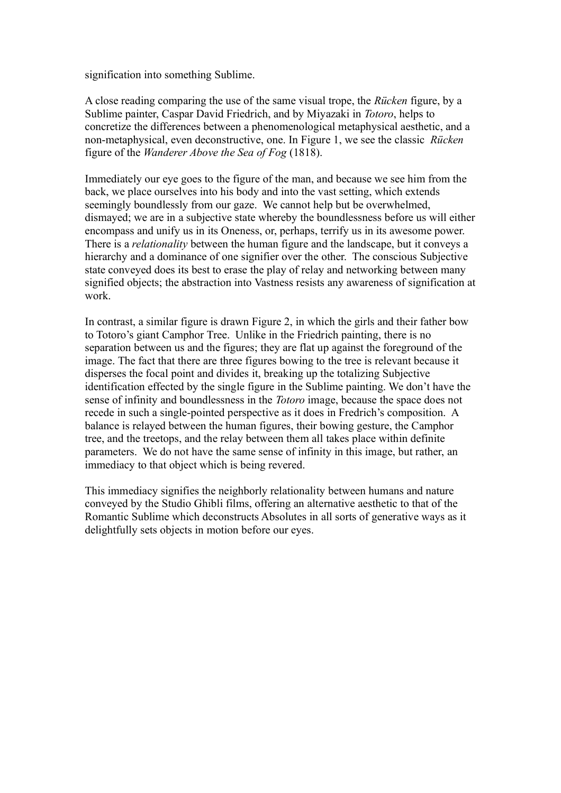signification into something Sublime.

A close reading comparing the use of the same visual trope, the *Rücken* figure, by a Sublime painter, Caspar David Friedrich, and by Miyazaki in *Totoro*, helps to concretize the differences between a phenomenological metaphysical aesthetic, and a non-metaphysical, even deconstructive, one. In Figure 1, we see the classic *Rücken* figure of the *Wanderer Above the Sea of Fog* (1818).

Immediately our eye goes to the figure of the man, and because we see him from the back, we place ourselves into his body and into the vast setting, which extends seemingly boundlessly from our gaze. We cannot help but be overwhelmed, dismayed; we are in a subjective state whereby the boundlessness before us will either encompass and unify us in its Oneness, or, perhaps, terrify us in its awesome power. There is a *relationality* between the human figure and the landscape, but it conveys a hierarchy and a dominance of one signifier over the other. The conscious Subjective state conveyed does its best to erase the play of relay and networking between many signified objects; the abstraction into Vastness resists any awareness of signification at work.

In contrast, a similar figure is drawn Figure 2, in which the girls and their father bow to Totoro's giant Camphor Tree. Unlike in the Friedrich painting, there is no separation between us and the figures; they are flat up against the foreground of the image. The fact that there are three figures bowing to the tree is relevant because it disperses the focal point and divides it, breaking up the totalizing Subjective identification effected by the single figure in the Sublime painting. We don't have the sense of infinity and boundlessness in the *Totoro* image, because the space does not recede in such a single-pointed perspective as it does in Fredrich's composition. A balance is relayed between the human figures, their bowing gesture, the Camphor tree, and the treetops, and the relay between them all takes place within definite parameters. We do not have the same sense of infinity in this image, but rather, an immediacy to that object which is being revered.

This immediacy signifies the neighborly relationality between humans and nature conveyed by the Studio Ghibli films, offering an alternative aesthetic to that of the Romantic Sublime which deconstructs Absolutes in all sorts of generative ways as it delightfully sets objects in motion before our eyes.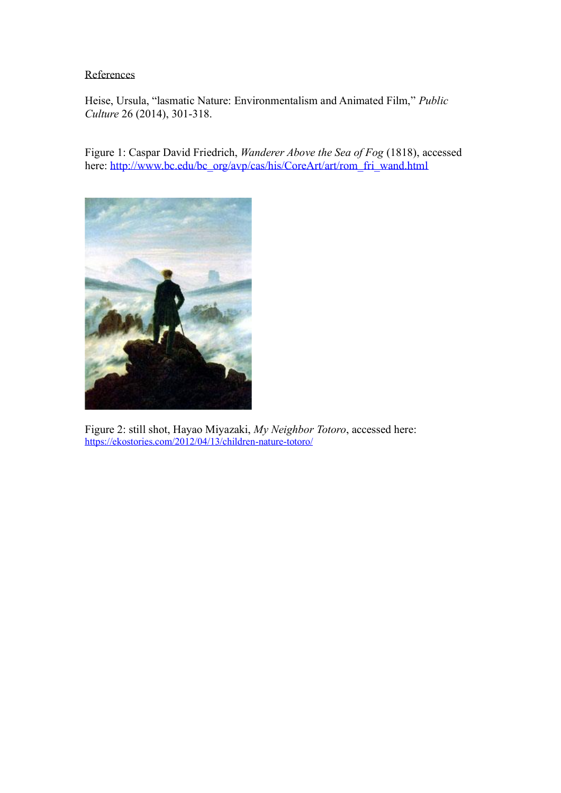## References

Heise, Ursula, "lasmatic Nature: Environmentalism and Animated Film," *Public Culture* 26 (2014), 301-318.

Figure 1: Caspar David Friedrich, *Wanderer Above the Sea of Fog* (1818), accessed here: [http://www.bc.edu/bc\\_org/avp/cas/his/CoreArt/art/rom\\_fri\\_wand.html](http://www.bc.edu/bc_org/avp/cas/his/CoreArt/art/rom_fri_wand.html)



Figure 2: still shot, Hayao Miyazaki, *My Neighbor Totoro*, accessed here: <https://ekostories.com/2012/04/13/children-nature-totoro/>